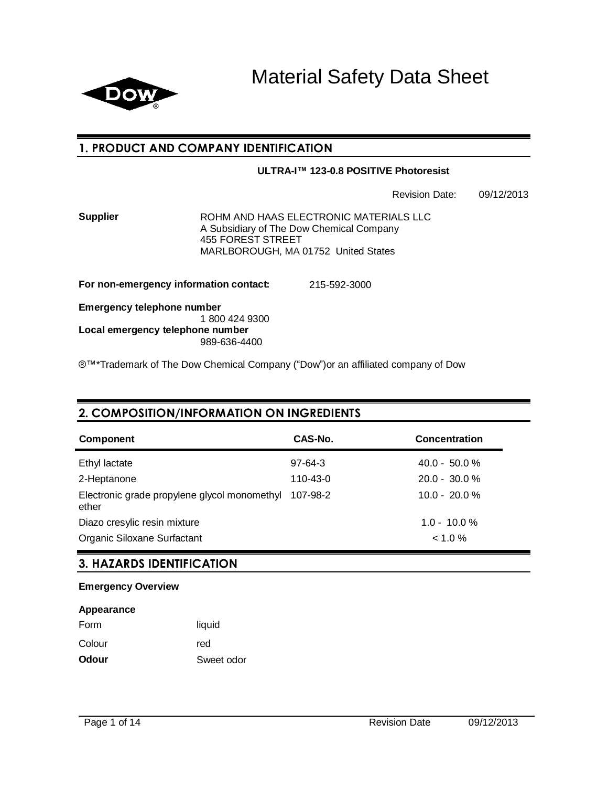

Material Safety Data Sheet

### **1. PRODUCT AND COMPANY IDENTIFICATION**

### **ULTRA-I™ 123-0.8 POSITIVE Photoresist**

Revision Date: 09/12/2013

**Supplier ROHM AND HAAS ELECTRONIC MATERIALS LLC** A Subsidiary of The Dow Chemical Company 455 FOREST STREET MARLBOROUGH, MA 01752 United States

**For non-emergency information contact:** 215-592-3000

**Emergency telephone number** 1 800 424 9300 **Local emergency telephone number** 989-636-4400

®™\*Trademark of The Dow Chemical Company ("Dow")or an affiliated company of Dow

# **2. COMPOSITION/INFORMATION ON INGREDIENTS**

| Component                                             | CAS-No.   | <b>Concentration</b> |
|-------------------------------------------------------|-----------|----------------------|
| Ethyl lactate                                         | $97-64-3$ | $40.0 - 50.0 %$      |
| 2-Heptanone                                           | 110-43-0  | $20.0 - 30.0 \%$     |
| Electronic grade propylene glycol monomethyl<br>ether | 107-98-2  | $10.0 - 20.0 %$      |
| Diazo cresylic resin mixture                          |           | $1.0 - 10.0 %$       |
| Organic Siloxane Surfactant                           |           | < 1.0 %              |

### **3. HAZARDS IDENTIFICATION**

### **Emergency Overview**

| Appearance   |            |
|--------------|------------|
| Form         | liquid     |
| Colour       | red        |
| <b>Odour</b> | Sweet odor |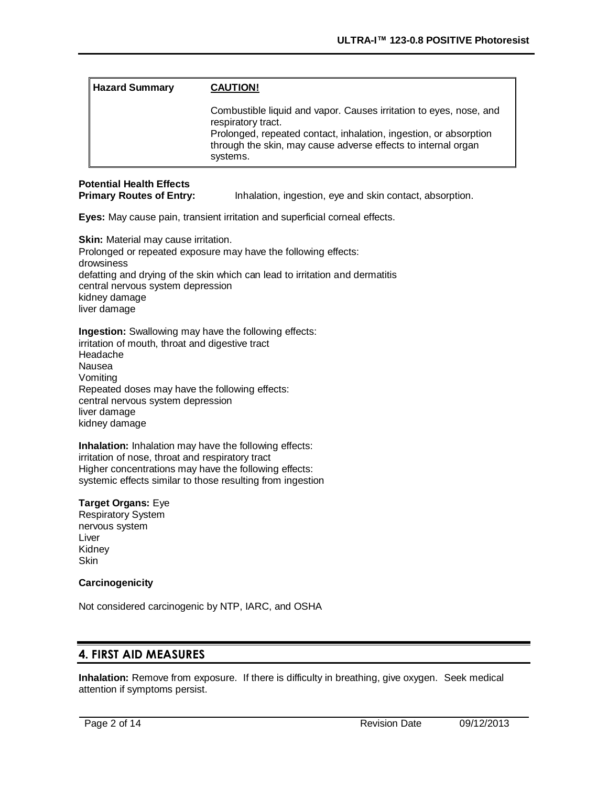| <b>Hazard Summary</b> | <b>CAUTION!</b>                                                                                                                                                                                                                            |
|-----------------------|--------------------------------------------------------------------------------------------------------------------------------------------------------------------------------------------------------------------------------------------|
|                       | Combustible liquid and vapor. Causes irritation to eyes, nose, and<br>respiratory tract.<br>Prolonged, repeated contact, inhalation, ingestion, or absorption<br>through the skin, may cause adverse effects to internal organ<br>systems. |

# **Potential Health Effects**

**Primary Routes of Entry:** Inhalation, ingestion, eye and skin contact, absorption.

**Eyes:** May cause pain, transient irritation and superficial corneal effects.

**Skin:** Material may cause irritation. Prolonged or repeated exposure may have the following effects: drowsiness defatting and drying of the skin which can lead to irritation and dermatitis central nervous system depression kidney damage liver damage

**Ingestion:** Swallowing may have the following effects: irritation of mouth, throat and digestive tract Headache Nausea Vomiting Repeated doses may have the following effects: central nervous system depression liver damage kidney damage

**Inhalation:** Inhalation may have the following effects: irritation of nose, throat and respiratory tract Higher concentrations may have the following effects: systemic effects similar to those resulting from ingestion

### **Target Organs:** Eye

Respiratory System nervous system Liver Kidney **Skin** 

### **Carcinogenicity**

Not considered carcinogenic by NTP, IARC, and OSHA

### **4. FIRST AID MEASURES**

**Inhalation:** Remove from exposure. If there is difficulty in breathing, give oxygen. Seek medical attention if symptoms persist.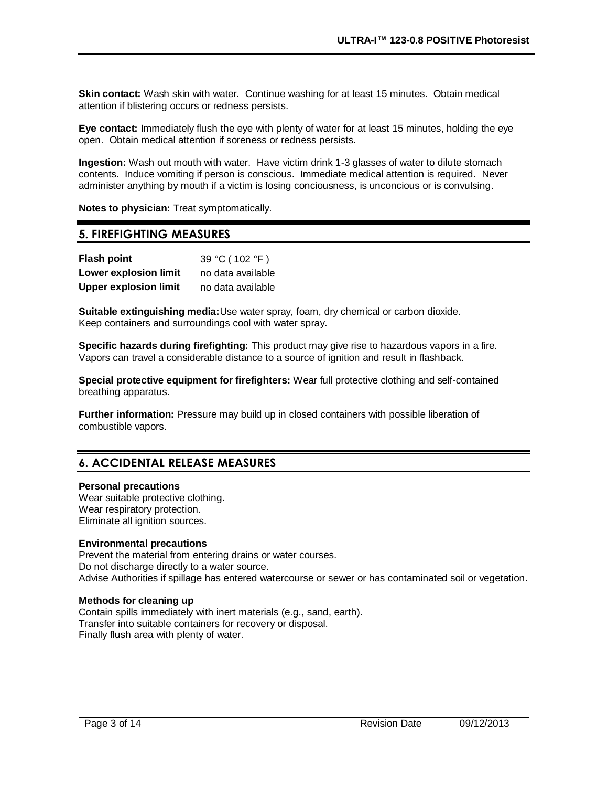**Skin contact:** Wash skin with water. Continue washing for at least 15 minutes. Obtain medical attention if blistering occurs or redness persists.

**Eye contact:** Immediately flush the eye with plenty of water for at least 15 minutes, holding the eye open. Obtain medical attention if soreness or redness persists.

**Ingestion:** Wash out mouth with water. Have victim drink 1-3 glasses of water to dilute stomach contents. Induce vomiting if person is conscious. Immediate medical attention is required. Never administer anything by mouth if a victim is losing conciousness, is unconcious or is convulsing.

**Notes to physician:** Treat symptomatically.

### **5. FIREFIGHTING MEASURES**

| <b>Flash point</b>           | 39 °C (102 °F)    |
|------------------------------|-------------------|
| Lower explosion limit        | no data available |
| <b>Upper explosion limit</b> | no data available |

**Suitable extinguishing media:**Use water spray, foam, dry chemical or carbon dioxide. Keep containers and surroundings cool with water spray.

**Specific hazards during firefighting:** This product may give rise to hazardous vapors in a fire. Vapors can travel a considerable distance to a source of ignition and result in flashback.

**Special protective equipment for firefighters:** Wear full protective clothing and self-contained breathing apparatus.

**Further information:** Pressure may build up in closed containers with possible liberation of combustible vapors.

# **6. ACCIDENTAL RELEASE MEASURES**

### **Personal precautions**

Wear suitable protective clothing. Wear respiratory protection. Eliminate all ignition sources.

#### **Environmental precautions**

Prevent the material from entering drains or water courses. Do not discharge directly to a water source. Advise Authorities if spillage has entered watercourse or sewer or has contaminated soil or vegetation.

#### **Methods for cleaning up**

Contain spills immediately with inert materials (e.g., sand, earth). Transfer into suitable containers for recovery or disposal. Finally flush area with plenty of water.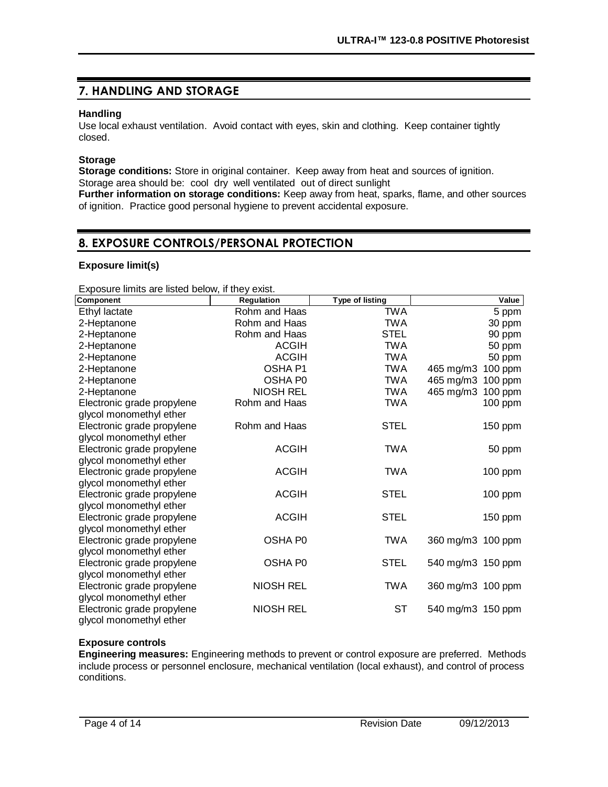# **7. HANDLING AND STORAGE**

### **Handling**

Use local exhaust ventilation. Avoid contact with eyes, skin and clothing. Keep container tightly closed.

### **Storage**

**Storage conditions:** Store in original container. Keep away from heat and sources of ignition. Storage area should be: cool dry well ventilated out of direct sunlight

**Further information on storage conditions:** Keep away from heat, sparks, flame, and other sources of ignition. Practice good personal hygiene to prevent accidental exposure.

## **8. EXPOSURE CONTROLS/PERSONAL PROTECTION**

### **Exposure limit(s)**

Exposure limits are listed below, if they exist.

| Component                  | Regulation       | <b>Type of listing</b> | Value                |
|----------------------------|------------------|------------------------|----------------------|
| Ethyl lactate              | Rohm and Haas    | <b>TWA</b>             | 5 ppm                |
| 2-Heptanone                | Rohm and Haas    | <b>TWA</b>             | 30 ppm               |
| 2-Heptanone                | Rohm and Haas    | <b>STEL</b>            | 90 ppm               |
| 2-Heptanone                | <b>ACGIH</b>     | <b>TWA</b>             | 50 ppm               |
| 2-Heptanone                | <b>ACGIH</b>     | <b>TWA</b>             | 50 ppm               |
| 2-Heptanone                | OSHA P1          | <b>TWA</b>             | 100 ppm<br>465 mg/m3 |
| 2-Heptanone                | OSHA P0          | <b>TWA</b>             | 465 mg/m3<br>100 ppm |
| 2-Heptanone                | <b>NIOSH REL</b> | <b>TWA</b>             | 465 mg/m3<br>100 ppm |
| Electronic grade propylene | Rohm and Haas    | <b>TWA</b>             | 100 ppm              |
| glycol monomethyl ether    |                  |                        |                      |
| Electronic grade propylene | Rohm and Haas    | <b>STEL</b>            | 150 ppm              |
| glycol monomethyl ether    |                  |                        |                      |
| Electronic grade propylene | <b>ACGIH</b>     | <b>TWA</b>             | 50 ppm               |
| glycol monomethyl ether    |                  |                        |                      |
| Electronic grade propylene | <b>ACGIH</b>     | <b>TWA</b>             | 100 ppm              |
| glycol monomethyl ether    |                  |                        |                      |
| Electronic grade propylene | <b>ACGIH</b>     | <b>STEL</b>            | 100 ppm              |
| glycol monomethyl ether    |                  |                        |                      |
| Electronic grade propylene | <b>ACGIH</b>     | <b>STEL</b>            | 150 ppm              |
| glycol monomethyl ether    |                  |                        |                      |
| Electronic grade propylene | OSHA P0          | <b>TWA</b>             | 360 mg/m3 100 ppm    |
| glycol monomethyl ether    |                  |                        |                      |
| Electronic grade propylene | OSHA P0          | <b>STEL</b>            | 540 mg/m3 150 ppm    |
| glycol monomethyl ether    |                  |                        |                      |
| Electronic grade propylene | <b>NIOSH REL</b> | <b>TWA</b>             | 360 mg/m3 100 ppm    |
| glycol monomethyl ether    |                  |                        |                      |
| Electronic grade propylene | <b>NIOSH REL</b> | <b>ST</b>              | 540 mg/m3 150 ppm    |
| glycol monomethyl ether    |                  |                        |                      |

### **Exposure controls**

**Engineering measures:** Engineering methods to prevent or control exposure are preferred. Methods include process or personnel enclosure, mechanical ventilation (local exhaust), and control of process conditions.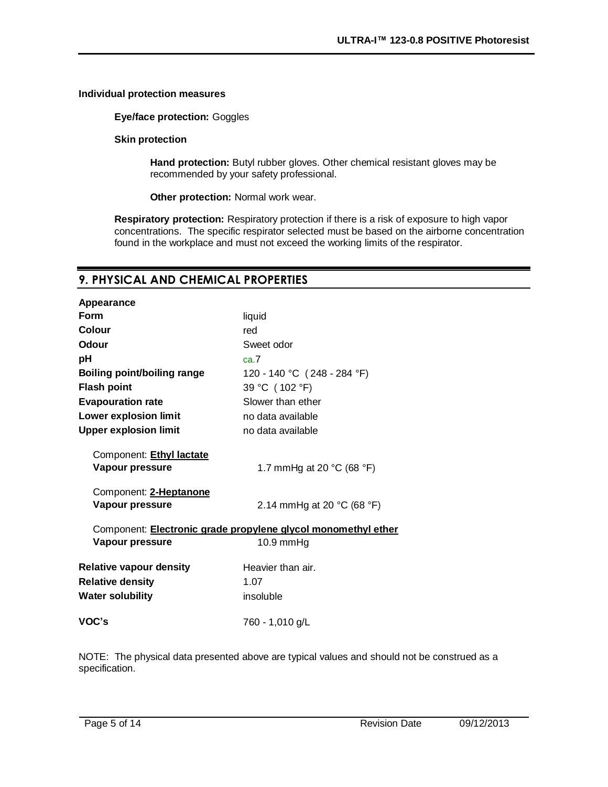#### **Individual protection measures**

**Eye/face protection:** Goggles

**Skin protection**

**Hand protection:** Butyl rubber gloves. Other chemical resistant gloves may be recommended by your safety professional.

**Other protection:** Normal work wear.

**Respiratory protection:** Respiratory protection if there is a risk of exposure to high vapor concentrations. The specific respirator selected must be based on the airborne concentration found in the workplace and must not exceed the working limits of the respirator.

### **9. PHYSICAL AND CHEMICAL PROPERTIES**

| liquid                                                        |
|---------------------------------------------------------------|
| red                                                           |
| Sweet odor                                                    |
| ca.7                                                          |
| 120 - 140 °C (248 - 284 °F)                                   |
| 39 °C (102 °F)                                                |
| Slower than ether                                             |
| no data available                                             |
| no data available                                             |
|                                                               |
|                                                               |
| 1.7 mmHg at 20 $^{\circ}$ C (68 $^{\circ}$ F)                 |
|                                                               |
| 2.14 mmHg at 20 $^{\circ}$ C (68 $^{\circ}$ F)                |
|                                                               |
| Component: Electronic grade propylene glycol monomethyl ether |
| $10.9 \text{ mmHg}$                                           |
| Heavier than air.                                             |
| 1.07                                                          |
| insoluble                                                     |
|                                                               |
| 760 - 1,010 g/L                                               |
|                                                               |

NOTE: The physical data presented above are typical values and should not be construed as a specification.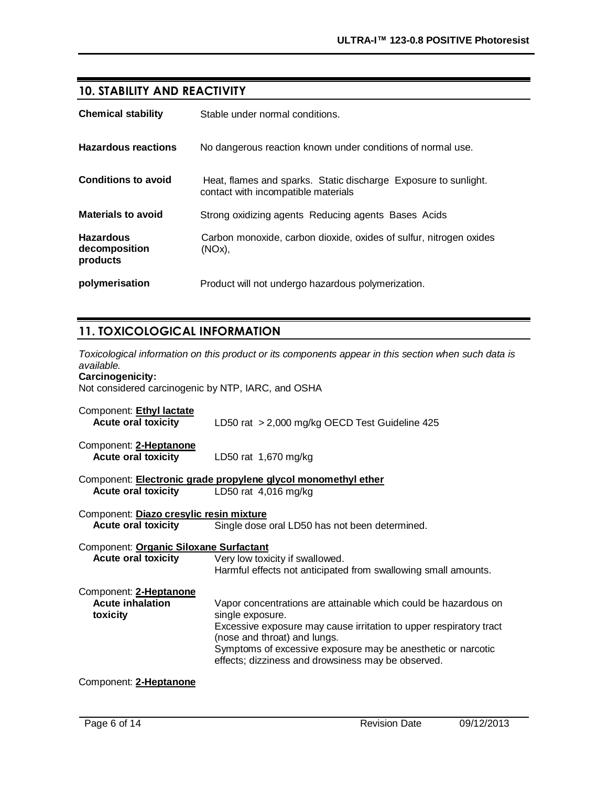# **10. STABILITY AND REACTIVITY**

| <b>Chemical stability</b>                     | Stable under normal conditions.                                                                        |
|-----------------------------------------------|--------------------------------------------------------------------------------------------------------|
| <b>Hazardous reactions</b>                    | No dangerous reaction known under conditions of normal use.                                            |
| <b>Conditions to avoid</b>                    | Heat, flames and sparks. Static discharge Exposure to sunlight.<br>contact with incompatible materials |
| <b>Materials to avoid</b>                     | Strong oxidizing agents Reducing agents Bases Acids                                                    |
| <b>Hazardous</b><br>decomposition<br>products | Carbon monoxide, carbon dioxide, oxides of sulfur, nitrogen oxides<br>$(NOx)$ ,                        |
| polymerisation                                | Product will not undergo hazardous polymerization.                                                     |

# **11. TOXICOLOGICAL INFORMATION**

*Toxicological information on this product or its components appear in this section when such data is available.* **Carcinogenicity:** 

Not considered carcinogenic by NTP, IARC, and OSHA

| Component: Ethyl lactate<br><b>Acute oral toxicity</b> | LD50 rat > 2,000 mg/kg OECD Test Guideline 425                                                                                                                                                                                                                                                                  |
|--------------------------------------------------------|-----------------------------------------------------------------------------------------------------------------------------------------------------------------------------------------------------------------------------------------------------------------------------------------------------------------|
| Component: 2-Heptanone<br><b>Acute oral toxicity</b>   | LD50 rat 1,670 mg/kg                                                                                                                                                                                                                                                                                            |
|                                                        | Component: <b>Electronic grade propylene glycol monomethyl ether</b>                                                                                                                                                                                                                                            |
| <b>Acute oral toxicity</b>                             | LD50 rat $4,016$ mg/kg                                                                                                                                                                                                                                                                                          |
| Component: Diazo cresylic resin mixture                |                                                                                                                                                                                                                                                                                                                 |
| <b>Acute oral toxicity</b>                             | Single dose oral LD50 has not been determined.                                                                                                                                                                                                                                                                  |
| Component: Organic Siloxane Surfactant                 |                                                                                                                                                                                                                                                                                                                 |
| <b>Acute oral toxicity</b>                             | Very low toxicity if swallowed.<br>Harmful effects not anticipated from swallowing small amounts.                                                                                                                                                                                                               |
| Component: 2-Heptanone                                 |                                                                                                                                                                                                                                                                                                                 |
| <b>Acute inhalation</b><br>toxicity                    | Vapor concentrations are attainable which could be hazardous on<br>single exposure.<br>Excessive exposure may cause irritation to upper respiratory tract<br>(nose and throat) and lungs.<br>Symptoms of excessive exposure may be anesthetic or narcotic<br>effects; dizziness and drowsiness may be observed. |

### Component: **2-Heptanone**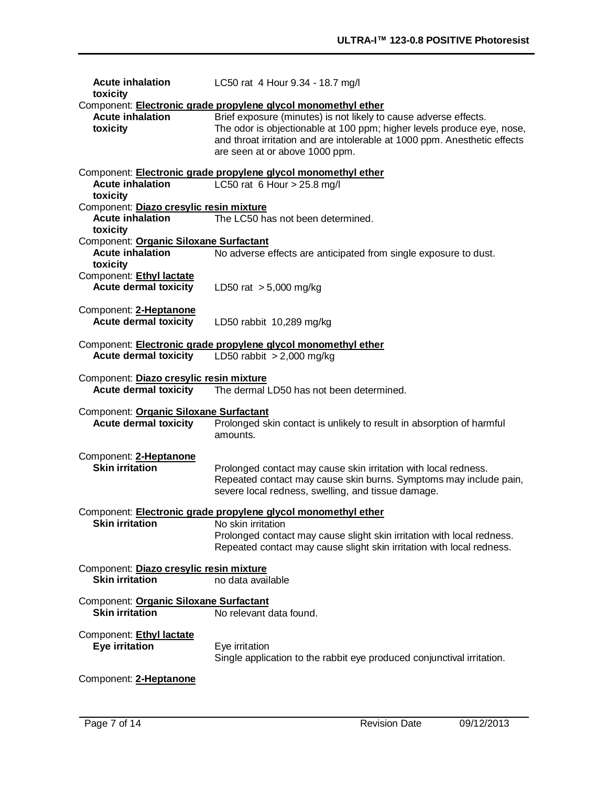| <b>Acute inhalation</b><br>toxicity                                     | LC50 rat 4 Hour 9.34 - 18.7 mg/l                                                                                                                                                                                                                                                                                           |
|-------------------------------------------------------------------------|----------------------------------------------------------------------------------------------------------------------------------------------------------------------------------------------------------------------------------------------------------------------------------------------------------------------------|
| <b>Acute inhalation</b><br>toxicity                                     | Component: Electronic grade propylene glycol monomethyl ether<br>Brief exposure (minutes) is not likely to cause adverse effects.<br>The odor is objectionable at 100 ppm; higher levels produce eye, nose,<br>and throat irritation and are intolerable at 1000 ppm. Anesthetic effects<br>are seen at or above 1000 ppm. |
| <b>Acute inhalation</b><br>toxicity                                     | Component: Electronic grade propylene glycol monomethyl ether<br>LC50 rat 6 Hour $> 25.8$ mg/l                                                                                                                                                                                                                             |
| Component: Diazo cresylic resin mixture                                 |                                                                                                                                                                                                                                                                                                                            |
| <b>Acute inhalation</b><br>toxicity                                     | The LC50 has not been determined.                                                                                                                                                                                                                                                                                          |
| Component: Organic Siloxane Surfactant                                  |                                                                                                                                                                                                                                                                                                                            |
| <b>Acute inhalation</b><br>toxicity                                     | No adverse effects are anticipated from single exposure to dust.                                                                                                                                                                                                                                                           |
| Component: Ethyl lactate<br><b>Acute dermal toxicity</b>                | LD50 rat $> 5,000$ mg/kg                                                                                                                                                                                                                                                                                                   |
| Component: 2-Heptanone<br><b>Acute dermal toxicity</b>                  | LD50 rabbit 10,289 mg/kg                                                                                                                                                                                                                                                                                                   |
| <b>Acute dermal toxicity</b>                                            | Component: Electronic grade propylene glycol monomethyl ether<br>LD50 rabbit $> 2,000$ mg/kg                                                                                                                                                                                                                               |
| Component: Diazo cresylic resin mixture<br><b>Acute dermal toxicity</b> | The dermal LD50 has not been determined.                                                                                                                                                                                                                                                                                   |
| Component: Organic Siloxane Surfactant<br><b>Acute dermal toxicity</b>  | Prolonged skin contact is unlikely to result in absorption of harmful<br>amounts.                                                                                                                                                                                                                                          |
| Component: 2-Heptanone<br><b>Skin irritation</b>                        | Prolonged contact may cause skin irritation with local redness.<br>Repeated contact may cause skin burns. Symptoms may include pain,<br>severe local redness, swelling, and tissue damage.                                                                                                                                 |
|                                                                         | Component: Electronic grade propylene glycol monomethyl ether                                                                                                                                                                                                                                                              |
| <b>Skin irritation</b>                                                  | No skin irritation<br>Prolonged contact may cause slight skin irritation with local redness.<br>Repeated contact may cause slight skin irritation with local redness.                                                                                                                                                      |
| Component: Diazo cresylic resin mixture<br><b>Skin irritation</b>       | no data available                                                                                                                                                                                                                                                                                                          |
| Component: Organic Siloxane Surfactant<br><b>Skin irritation</b>        | No relevant data found.                                                                                                                                                                                                                                                                                                    |
| Component: Ethyl lactate<br><b>Eye irritation</b>                       | Eye irritation<br>Single application to the rabbit eye produced conjunctival irritation.                                                                                                                                                                                                                                   |
| Component: 2-Heptanone                                                  |                                                                                                                                                                                                                                                                                                                            |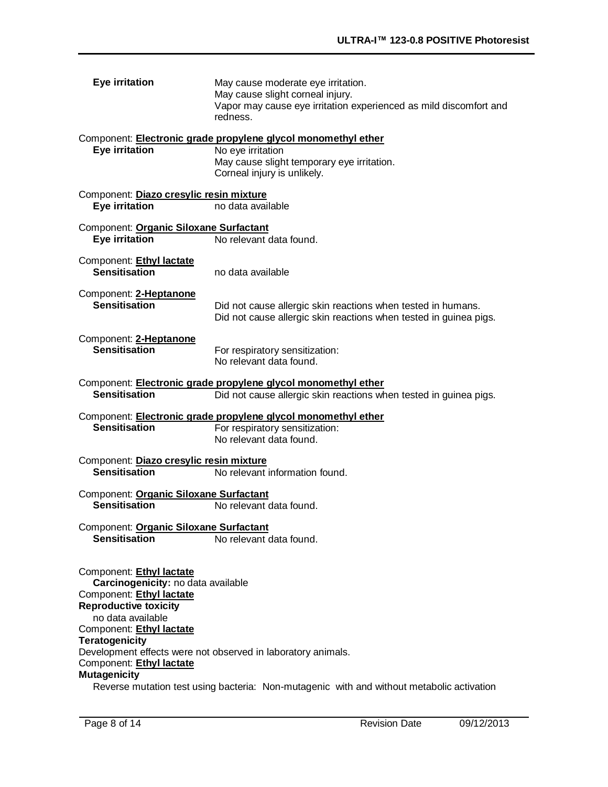| <b>Eye irritation</b>                                                                                                                                                                                                            | May cause moderate eye irritation.<br>May cause slight corneal injury.<br>Vapor may cause eye irritation experienced as mild discomfort and<br>redness.         |
|----------------------------------------------------------------------------------------------------------------------------------------------------------------------------------------------------------------------------------|-----------------------------------------------------------------------------------------------------------------------------------------------------------------|
| <b>Eye irritation</b>                                                                                                                                                                                                            | Component: Electronic grade propylene glycol monomethyl ether<br>No eye irritation<br>May cause slight temporary eye irritation.<br>Corneal injury is unlikely. |
| Component: Diazo cresylic resin mixture<br><b>Eye irritation</b>                                                                                                                                                                 | no data available                                                                                                                                               |
| Component: Organic Siloxane Surfactant<br><b>Eye irritation</b>                                                                                                                                                                  | No relevant data found.                                                                                                                                         |
| Component: Ethyl lactate<br><b>Sensitisation</b>                                                                                                                                                                                 | no data available                                                                                                                                               |
| Component: 2-Heptanone<br><b>Sensitisation</b>                                                                                                                                                                                   | Did not cause allergic skin reactions when tested in humans.<br>Did not cause allergic skin reactions when tested in guinea pigs.                               |
| Component: 2-Heptanone<br><b>Sensitisation</b>                                                                                                                                                                                   | For respiratory sensitization:<br>No relevant data found.                                                                                                       |
| <b>Sensitisation</b>                                                                                                                                                                                                             | Component: Electronic grade propylene glycol monomethyl ether<br>Did not cause allergic skin reactions when tested in guinea pigs.                              |
| <b>Sensitisation</b>                                                                                                                                                                                                             | Component: Electronic grade propylene glycol monomethyl ether<br>For respiratory sensitization:<br>No relevant data found.                                      |
| Component: Diazo cresylic resin mixture<br><b>Sensitisation</b>                                                                                                                                                                  | No relevant information found.                                                                                                                                  |
| Component: Organic Siloxane Surfactant<br><b>Sensitisation</b>                                                                                                                                                                   | No relevant data found.                                                                                                                                         |
| Component: Organic Siloxane Surfactant<br><b>Sensitisation</b>                                                                                                                                                                   | No relevant data found.                                                                                                                                         |
| Component: Ethyl lactate<br>Carcinogenicity: no data available<br>Component: Ethyl lactate<br><b>Reproductive toxicity</b><br>no data available<br>Component: Ethyl lactate<br><b>Teratogenicity</b><br>Component: Ethyl lactate | Development effects were not observed in laboratory animals.                                                                                                    |
| <b>Mutagenicity</b>                                                                                                                                                                                                              | Reverse mutation test using bacteria: Non-mutagenic with and without metabolic activation                                                                       |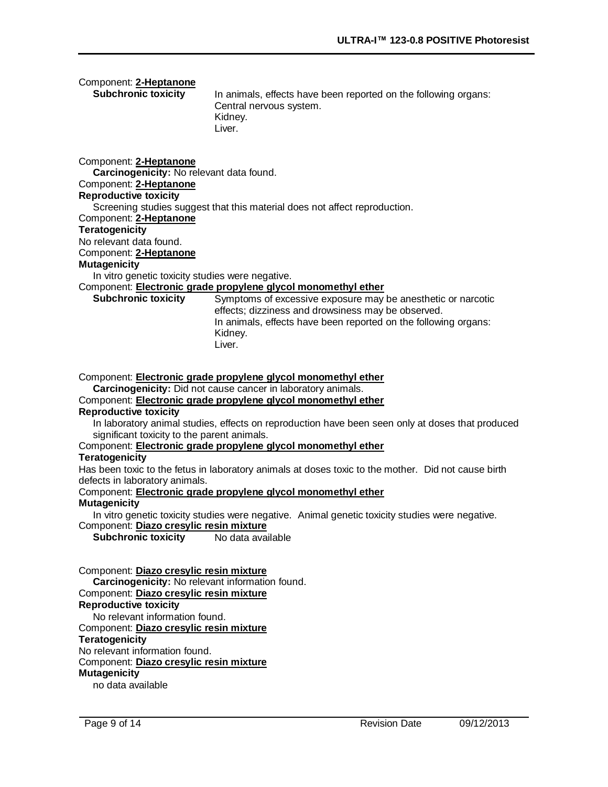| Component: 2-Heptanone<br><b>Subchronic toxicity</b>                                                                                                                                                                                                                                                                                                                                                 | In animals, effects have been reported on the following organs:<br>Central nervous system.<br>Kidney.<br>Liver.                                                                                                                                                                                                                                                                                                                                                                                                                                                                                                                                                            |
|------------------------------------------------------------------------------------------------------------------------------------------------------------------------------------------------------------------------------------------------------------------------------------------------------------------------------------------------------------------------------------------------------|----------------------------------------------------------------------------------------------------------------------------------------------------------------------------------------------------------------------------------------------------------------------------------------------------------------------------------------------------------------------------------------------------------------------------------------------------------------------------------------------------------------------------------------------------------------------------------------------------------------------------------------------------------------------------|
| Component: 2-Heptanone<br>Carcinogenicity: No relevant data found.<br>Component: 2-Heptanone<br><b>Reproductive toxicity</b><br>Component: 2-Heptanone<br><b>Teratogenicity</b><br>No relevant data found.<br>Component: 2-Heptanone<br><b>Mutagenicity</b>                                                                                                                                          | Screening studies suggest that this material does not affect reproduction.                                                                                                                                                                                                                                                                                                                                                                                                                                                                                                                                                                                                 |
| In vitro genetic toxicity studies were negative.                                                                                                                                                                                                                                                                                                                                                     |                                                                                                                                                                                                                                                                                                                                                                                                                                                                                                                                                                                                                                                                            |
| <b>Subchronic toxicity</b>                                                                                                                                                                                                                                                                                                                                                                           | Component: Electronic grade propylene glycol monomethyl ether<br>Symptoms of excessive exposure may be anesthetic or narcotic<br>effects; dizziness and drowsiness may be observed.<br>In animals, effects have been reported on the following organs:<br>Kidney.<br>Liver.                                                                                                                                                                                                                                                                                                                                                                                                |
| <b>Reproductive toxicity</b><br>significant toxicity to the parent animals.<br><b>Teratogenicity</b><br>defects in laboratory animals.<br><b>Mutagenicity</b><br>Component: Diazo cresylic resin mixture<br><b>Subchronic toxicity</b>                                                                                                                                                               | Component: Electronic grade propylene glycol monomethyl ether<br>Carcinogenicity: Did not cause cancer in laboratory animals.<br>Component: <b>Electronic grade propylene glycol monomethyl ether</b><br>In laboratory animal studies, effects on reproduction have been seen only at doses that produced<br>Component: Electronic grade propylene glycol monomethyl ether<br>Has been toxic to the fetus in laboratory animals at doses toxic to the mother. Did not cause birth<br>Component: Electronic grade propylene glycol monomethyl ether<br>In vitro genetic toxicity studies were negative. Animal genetic toxicity studies were negative.<br>No data available |
| Component: Diazo cresylic resin mixture<br>Carcinogenicity: No relevant information found.<br>Component: Diazo cresylic resin mixture<br><b>Reproductive toxicity</b><br>No relevant information found.<br>Component: Diazo cresylic resin mixture<br><b>Teratogenicity</b><br>No relevant information found.<br>Component: Diazo cresylic resin mixture<br><b>Mutagenicity</b><br>no data available |                                                                                                                                                                                                                                                                                                                                                                                                                                                                                                                                                                                                                                                                            |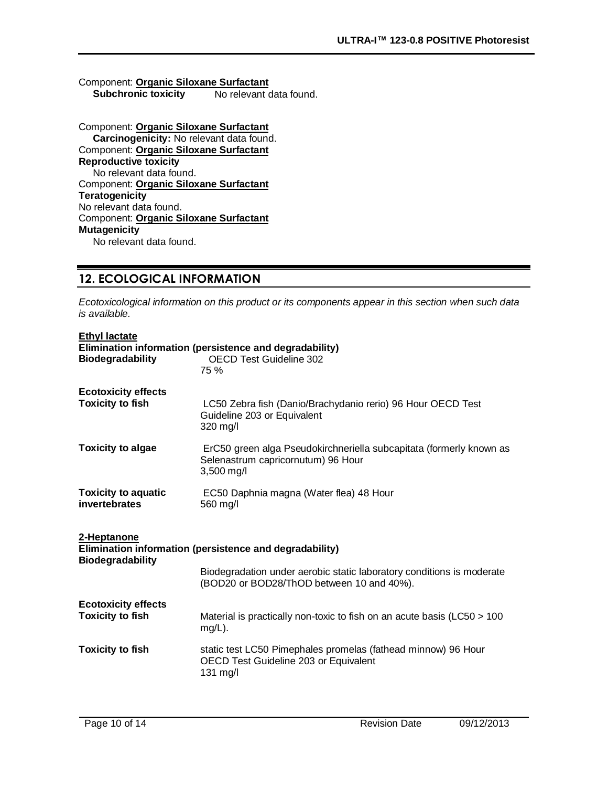### Component: **Organic Siloxane Surfactant**

**Subchronic toxicity** No relevant data found.

#### Component: **Organic Siloxane Surfactant Carcinogenicity:** No relevant data found. Component: **Organic Siloxane Surfactant Reproductive toxicity** No relevant data found. Component: **Organic Siloxane Surfactant Teratogenicity** No relevant data found. Component: **Organic Siloxane Surfactant Mutagenicity** No relevant data found.

## **12. ECOLOGICAL INFORMATION**

*Ecotoxicological information on this product or its components appear in this section when such data is available.*

| <b>Ethyl lactate</b>                                                                              |                                                                                                                         |  |
|---------------------------------------------------------------------------------------------------|-------------------------------------------------------------------------------------------------------------------------|--|
| <b>Biodegradability</b>                                                                           | Elimination information (persistence and degradability)<br><b>OECD Test Guideline 302</b>                               |  |
|                                                                                                   | 75 %                                                                                                                    |  |
| <b>Ecotoxicity effects</b>                                                                        |                                                                                                                         |  |
| <b>Toxicity to fish</b>                                                                           | LC50 Zebra fish (Danio/Brachydanio rerio) 96 Hour OECD Test<br>Guideline 203 or Equivalent<br>320 mg/l                  |  |
| <b>Toxicity to algae</b>                                                                          | ErC50 green alga Pseudokirchneriella subcapitata (formerly known as<br>Selenastrum capricornutum) 96 Hour<br>3,500 mg/l |  |
| <b>Toxicity to aquatic</b><br>invertebrates                                                       | EC50 Daphnia magna (Water flea) 48 Hour<br>560 mg/l                                                                     |  |
| 2-Heptanone<br>Elimination information (persistence and degradability)<br><b>Biodegradability</b> |                                                                                                                         |  |
|                                                                                                   | Biodegradation under aerobic static laboratory conditions is moderate<br>(BOD20 or BOD28/ThOD between 10 and 40%).      |  |
| <b>Ecotoxicity effects</b>                                                                        |                                                                                                                         |  |
| <b>Toxicity to fish</b>                                                                           | Material is practically non-toxic to fish on an acute basis (LC50 > 100<br>$mg/L$ ).                                    |  |
| <b>Toxicity to fish</b>                                                                           | static test LC50 Pimephales promelas (fathead minnow) 96 Hour<br>OECD Test Guideline 203 or Equivalent<br>131 mg/l      |  |
|                                                                                                   |                                                                                                                         |  |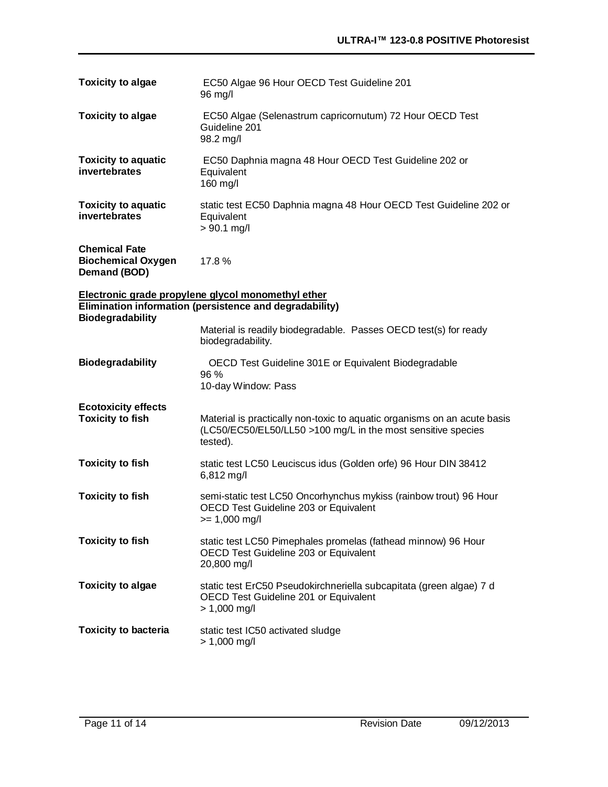| <b>Toxicity to algae</b>                                                                                      | EC50 Algae 96 Hour OECD Test Guideline 201<br>96 mg/l                                                                                                |  |  |
|---------------------------------------------------------------------------------------------------------------|------------------------------------------------------------------------------------------------------------------------------------------------------|--|--|
| <b>Toxicity to algae</b>                                                                                      | EC50 Algae (Selenastrum capricornutum) 72 Hour OECD Test<br>Guideline 201<br>98.2 mg/l                                                               |  |  |
| <b>Toxicity to aquatic</b><br>invertebrates                                                                   | EC50 Daphnia magna 48 Hour OECD Test Guideline 202 or<br>Equivalent<br>160 mg/l                                                                      |  |  |
| <b>Toxicity to aquatic</b><br>invertebrates                                                                   | static test EC50 Daphnia magna 48 Hour OECD Test Guideline 202 or<br>Equivalent<br>$> 90.1$ mg/l                                                     |  |  |
| <b>Chemical Fate</b><br><b>Biochemical Oxygen</b><br>Demand (BOD)                                             | 17.8%                                                                                                                                                |  |  |
| Electronic grade propylene glycol monomethyl ether<br>Elimination information (persistence and degradability) |                                                                                                                                                      |  |  |
| <b>Biodegradability</b>                                                                                       | Material is readily biodegradable. Passes OECD test(s) for ready<br>biodegradability.                                                                |  |  |
| <b>Biodegradability</b>                                                                                       | OECD Test Guideline 301E or Equivalent Biodegradable<br>96 %<br>10-day Window: Pass                                                                  |  |  |
| <b>Ecotoxicity effects</b><br><b>Toxicity to fish</b>                                                         | Material is practically non-toxic to aquatic organisms on an acute basis<br>(LC50/EC50/EL50/LL50 >100 mg/L in the most sensitive species<br>tested). |  |  |
| <b>Toxicity to fish</b>                                                                                       | static test LC50 Leuciscus idus (Golden orfe) 96 Hour DIN 38412<br>6,812 mg/l                                                                        |  |  |
| <b>Toxicity to fish</b>                                                                                       | semi-static test LC50 Oncorhynchus mykiss (rainbow trout) 96 Hour<br>OECD Test Guideline 203 or Equivalent<br>$>= 1,000$ mg/l                        |  |  |
| <b>Toxicity to fish</b>                                                                                       | static test LC50 Pimephales promelas (fathead minnow) 96 Hour<br>OECD Test Guideline 203 or Equivalent<br>20,800 mg/l                                |  |  |
| <b>Toxicity to algae</b>                                                                                      | static test ErC50 Pseudokirchneriella subcapitata (green algae) 7 d<br>OECD Test Guideline 201 or Equivalent<br>$> 1,000$ mg/l                       |  |  |
| <b>Toxicity to bacteria</b>                                                                                   | static test IC50 activated sludge<br>$> 1,000$ mg/l                                                                                                  |  |  |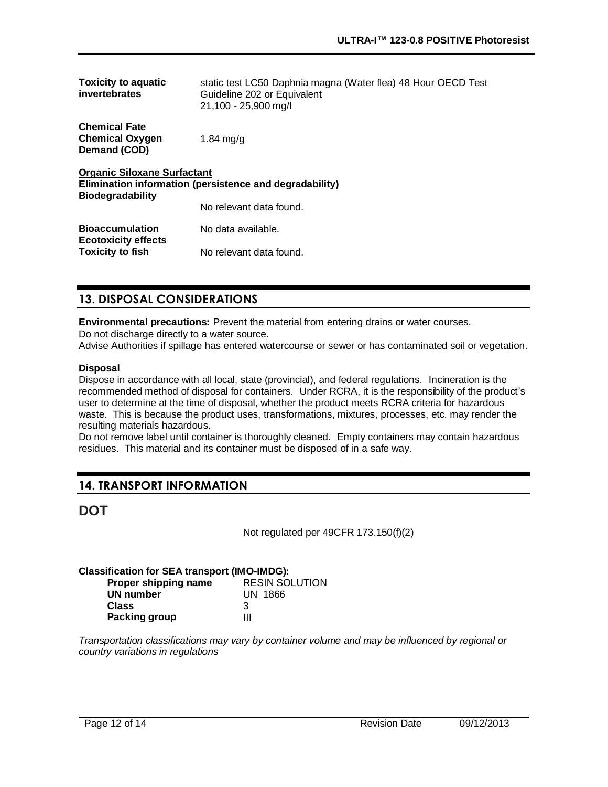| <b>Toxicity to aquatic</b><br>invertebrates                                                                              | static test LC50 Daphnia magna (Water flea) 48 Hour OECD Test<br>Guideline 202 or Equivalent<br>21,100 - 25,900 mg/l |  |
|--------------------------------------------------------------------------------------------------------------------------|----------------------------------------------------------------------------------------------------------------------|--|
| <b>Chemical Fate</b><br><b>Chemical Oxygen</b><br>Demand (COD)                                                           | $1.84 \text{ ma/q}$                                                                                                  |  |
| <b>Organic Siloxane Surfactant</b><br>Elimination information (persistence and degradability)<br><b>Biodegradability</b> |                                                                                                                      |  |
|                                                                                                                          | No relevant data found.                                                                                              |  |
| <b>Bioaccumulation</b><br><b>Ecotoxicity effects</b><br><b>Toxicity to fish</b>                                          | No data available.                                                                                                   |  |
|                                                                                                                          | No relevant data found.                                                                                              |  |

# **13. DISPOSAL CONSIDERATIONS**

**Environmental precautions:** Prevent the material from entering drains or water courses.

Do not discharge directly to a water source.

Advise Authorities if spillage has entered watercourse or sewer or has contaminated soil or vegetation.

### **Disposal**

Dispose in accordance with all local, state (provincial), and federal regulations. Incineration is the recommended method of disposal for containers. Under RCRA, it is the responsibility of the product's user to determine at the time of disposal, whether the product meets RCRA criteria for hazardous waste. This is because the product uses, transformations, mixtures, processes, etc. may render the resulting materials hazardous.

Do not remove label until container is thoroughly cleaned. Empty containers may contain hazardous residues. This material and its container must be disposed of in a safe way.

# **14. TRANSPORT INFORMATION**

# **DOT**

Not regulated per 49CFR 173.150(f)(2)

### **Classification for SEA transport (IMO-IMDG):**

| Proper shipping name | <b>RESIN SOLUTION</b> |
|----------------------|-----------------------|
| UN number            | UN 1866               |
| <b>Class</b>         | З                     |
| <b>Packing group</b> | ш                     |

*Transportation classifications may vary by container volume and may be influenced by regional or country variations in regulations*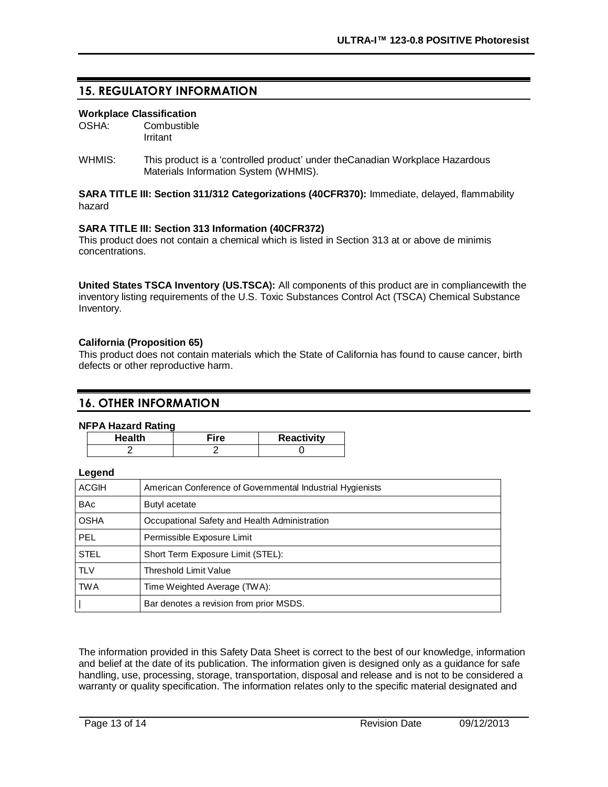# **15. REGULATORY INFORMATION**

### **Workplace Classification**

OSHA: Combustible Irritant

WHMIS: This product is a 'controlled product' under the Canadian Workplace Hazardous Materials Information System (WHMIS).

### **SARA TITLE III: Section 311/312 Categorizations (40CFR370):** Immediate, delayed, flammability hazard

### **SARA TITLE III: Section 313 Information (40CFR372)**

This product does not contain a chemical which is listed in Section 313 at or above de minimis concentrations.

**United States TSCA Inventory (US.TSCA):** All components of this product are in compliancewith the inventory listing requirements of the U.S. Toxic Substances Control Act (TSCA) Chemical Substance Inventory.

### **California (Proposition 65)**

This product does not contain materials which the State of California has found to cause cancer, birth defects or other reproductive harm.

### **16. OTHER INFORMATION**

#### **NFPA Hazard Rating**

| <b>Health</b> | Fire | <b>Reactivity</b> |
|---------------|------|-------------------|
|               |      |                   |

### **Legend**

| <b>ACGIH</b> | American Conference of Governmental Industrial Hygienists |
|--------------|-----------------------------------------------------------|
| <b>BAc</b>   | Butyl acetate                                             |
| <b>OSHA</b>  | Occupational Safety and Health Administration             |
| <b>PEL</b>   | Permissible Exposure Limit                                |
| <b>STEL</b>  | Short Term Exposure Limit (STEL):                         |
| <b>TLV</b>   | Threshold Limit Value                                     |
| <b>TWA</b>   | Time Weighted Average (TWA):                              |
|              | Bar denotes a revision from prior MSDS.                   |

The information provided in this Safety Data Sheet is correct to the best of our knowledge, information and belief at the date of its publication. The information given is designed only as a guidance for safe handling, use, processing, storage, transportation, disposal and release and is not to be considered a warranty or quality specification. The information relates only to the specific material designated and